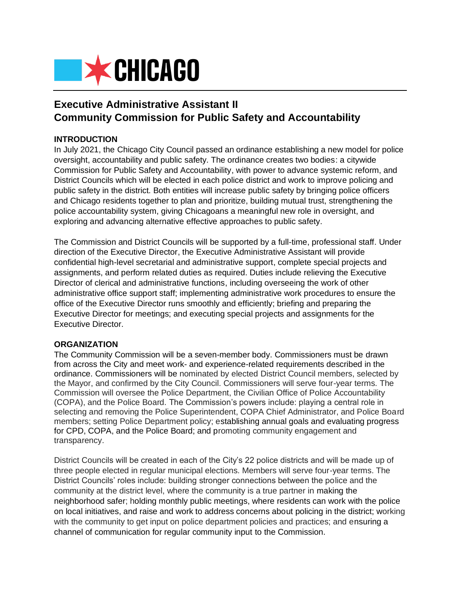

# **Executive Administrative Assistant II Community Commission for Public Safety and Accountability**

# **INTRODUCTION**

In July 2021, the Chicago City Council passed an ordinance establishing a new model for police oversight, accountability and public safety. The ordinance creates two bodies: a citywide Commission for Public Safety and Accountability, with power to advance systemic reform, and District Councils which will be elected in each police district and work to improve policing and public safety in the district. Both entities will increase public safety by bringing police officers and Chicago residents together to plan and prioritize, building mutual trust, strengthening the police accountability system, giving Chicagoans a meaningful new role in oversight, and exploring and advancing alternative effective approaches to public safety.

The Commission and District Councils will be supported by a full-time, professional staff. Under direction of the Executive Director, the Executive Administrative Assistant will provide confidential high-level secretarial and administrative support, complete special projects and assignments, and perform related duties as required. Duties include relieving the Executive Director of clerical and administrative functions, including overseeing the work of other administrative office support staff; implementing administrative work procedures to ensure the office of the Executive Director runs smoothly and efficiently; briefing and preparing the Executive Director for meetings; and executing special projects and assignments for the Executive Director.

## **ORGANIZATION**

The Community Commission will be a seven-member body. Commissioners must be drawn from across the City and meet work- and experience-related requirements described in the ordinance. Commissioners will be nominated by elected District Council members, selected by the Mayor, and confirmed by the City Council. Commissioners will serve four-year terms. The Commission will oversee the Police Department, the Civilian Office of Police Accountability (COPA), and the Police Board. The Commission's powers include: playing a central role in selecting and removing the Police Superintendent, COPA Chief Administrator, and Police Board members; setting Police Department policy; establishing annual goals and evaluating progress for CPD, COPA, and the Police Board; and promoting community engagement and transparency.

District Councils will be created in each of the City's 22 police districts and will be made up of three people elected in regular municipal elections. Members will serve four-year terms. The District Councils' roles include: building stronger connections between the police and the community at the district level, where the community is a true partner in making the neighborhood safer; holding monthly public meetings, where residents can work with the police on local initiatives, and raise and work to address concerns about policing in the district; working with the community to get input on police department policies and practices; and ensuring a channel of communication for regular community input to the Commission.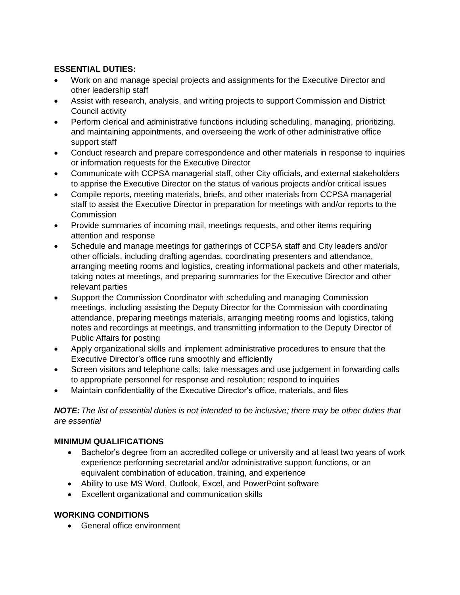# **ESSENTIAL DUTIES:**

- Work on and manage special projects and assignments for the Executive Director and other leadership staff
- Assist with research, analysis, and writing projects to support Commission and District Council activity
- Perform clerical and administrative functions including scheduling, managing, prioritizing, and maintaining appointments, and overseeing the work of other administrative office support staff
- Conduct research and prepare correspondence and other materials in response to inquiries or information requests for the Executive Director
- Communicate with CCPSA managerial staff, other City officials, and external stakeholders to apprise the Executive Director on the status of various projects and/or critical issues
- Compile reports, meeting materials, briefs, and other materials from CCPSA managerial staff to assist the Executive Director in preparation for meetings with and/or reports to the **Commission**
- Provide summaries of incoming mail, meetings requests, and other items requiring attention and response
- Schedule and manage meetings for gatherings of CCPSA staff and City leaders and/or other officials, including drafting agendas, coordinating presenters and attendance, arranging meeting rooms and logistics, creating informational packets and other materials, taking notes at meetings, and preparing summaries for the Executive Director and other relevant parties
- Support the Commission Coordinator with scheduling and managing Commission meetings, including assisting the Deputy Director for the Commission with coordinating attendance, preparing meetings materials, arranging meeting rooms and logistics, taking notes and recordings at meetings, and transmitting information to the Deputy Director of Public Affairs for posting
- Apply organizational skills and implement administrative procedures to ensure that the Executive Director's office runs smoothly and efficiently
- Screen visitors and telephone calls; take messages and use judgement in forwarding calls to appropriate personnel for response and resolution; respond to inquiries
- Maintain confidentiality of the Executive Director's office, materials, and files

*NOTE:The list of essential duties is not intended to be inclusive; there may be other duties that are essential*

# **MINIMUM QUALIFICATIONS**

- Bachelor's degree from an accredited college or university and at least two years of work experience performing secretarial and/or administrative support functions, or an equivalent combination of education, training, and experience
- Ability to use MS Word, Outlook, Excel, and PowerPoint software
- Excellent organizational and communication skills

# **WORKING CONDITIONS**

• General office environment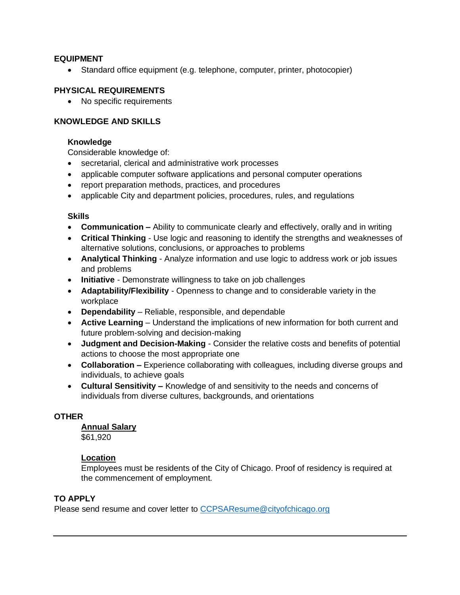## **EQUIPMENT**

• Standard office equipment (e.g. telephone, computer, printer, photocopier)

## **PHYSICAL REQUIREMENTS**

• No specific requirements

# **KNOWLEDGE AND SKILLS**

#### **Knowledge**

Considerable knowledge of:

- secretarial, clerical and administrative work processes
- applicable computer software applications and personal computer operations
- report preparation methods, practices, and procedures
- applicable City and department policies, procedures, rules, and regulations

## **Skills**

- **Communication –** Ability to communicate clearly and effectively, orally and in writing
- **Critical Thinking** Use logic and reasoning to identify the strengths and weaknesses of alternative solutions, conclusions, or approaches to problems
- **Analytical Thinking** Analyze information and use logic to address work or job issues and problems
- **Initiative** Demonstrate willingness to take on job challenges
- **Adaptability/Flexibility** Openness to change and to considerable variety in the workplace
- **Dependability** Reliable, responsible, and dependable
- **Active Learning** Understand the implications of new information for both current and future problem-solving and decision-making
- **Judgment and Decision-Making** Consider the relative costs and benefits of potential actions to choose the most appropriate one
- **Collaboration –** Experience collaborating with colleagues, including diverse groups and individuals, to achieve goals
- **Cultural Sensitivity –** Knowledge of and sensitivity to the needs and concerns of individuals from diverse cultures, backgrounds, and orientations

## **OTHER**

## **Annual Salary**

\$61,920

# **Location**

Employees must be residents of the City of Chicago. Proof of residency is required at the commencement of employment.

# **TO APPLY**

Please send resume and cover letter to [CCPSAResume@cityofchicago.org](mailto:CCPSAResume@cityofchicago.org)